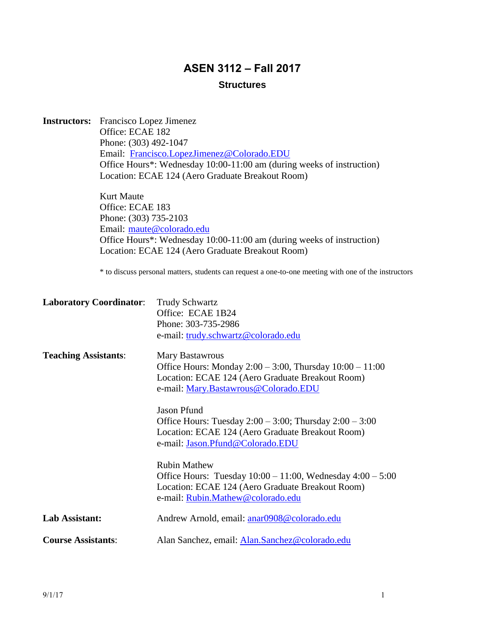# **ASEN 3112 – Fall 2017**

## **Structures**

|                                | <b>Instructors:</b> Francisco Lopez Jimenez                            |                                                                                                      |  |  |  |
|--------------------------------|------------------------------------------------------------------------|------------------------------------------------------------------------------------------------------|--|--|--|
|                                | Office: ECAE 182<br>Phone: (303) 492-1047                              |                                                                                                      |  |  |  |
|                                |                                                                        |                                                                                                      |  |  |  |
|                                |                                                                        | Email: Francisco.LopezJimenez@Colorado.EDU                                                           |  |  |  |
|                                |                                                                        | Office Hours*: Wednesday 10:00-11:00 am (during weeks of instruction)                                |  |  |  |
|                                |                                                                        | Location: ECAE 124 (Aero Graduate Breakout Room)                                                     |  |  |  |
|                                | Kurt Maute                                                             |                                                                                                      |  |  |  |
|                                | Office: ECAE 183<br>Phone: (303) 735-2103<br>Email: maute@colorado.edu |                                                                                                      |  |  |  |
|                                |                                                                        |                                                                                                      |  |  |  |
|                                |                                                                        |                                                                                                      |  |  |  |
|                                |                                                                        | Office Hours*: Wednesday 10:00-11:00 am (during weeks of instruction)                                |  |  |  |
|                                |                                                                        | Location: ECAE 124 (Aero Graduate Breakout Room)                                                     |  |  |  |
|                                |                                                                        | * to discuss personal matters, students can request a one-to-one meeting with one of the instructors |  |  |  |
| <b>Laboratory Coordinator:</b> |                                                                        | <b>Trudy Schwartz</b>                                                                                |  |  |  |
|                                |                                                                        | Office: ECAE 1B24                                                                                    |  |  |  |
|                                |                                                                        | Phone: 303-735-2986                                                                                  |  |  |  |
|                                |                                                                        | e-mail: trudy.schwartz@colorado.edu                                                                  |  |  |  |
| <b>Teaching Assistants:</b>    |                                                                        | <b>Mary Bastawrous</b>                                                                               |  |  |  |
|                                |                                                                        | Office Hours: Monday $2:00 - 3:00$ , Thursday $10:00 - 11:00$                                        |  |  |  |
|                                |                                                                        | Location: ECAE 124 (Aero Graduate Breakout Room)                                                     |  |  |  |
|                                |                                                                        | e-mail: Mary.Bastawrous@Colorado.EDU                                                                 |  |  |  |
|                                |                                                                        | <b>Jason Pfund</b>                                                                                   |  |  |  |
|                                |                                                                        | Office Hours: Tuesday $2:00 - 3:00$ ; Thursday $2:00 - 3:00$                                         |  |  |  |
|                                |                                                                        | Location: ECAE 124 (Aero Graduate Breakout Room)                                                     |  |  |  |
|                                |                                                                        | e-mail: Jason.Pfund@Colorado.EDU                                                                     |  |  |  |
|                                |                                                                        | <b>Rubin Mathew</b>                                                                                  |  |  |  |
|                                |                                                                        | Office Hours: Tuesday $10:00 - 11:00$ , Wednesday $4:00 - 5:00$                                      |  |  |  |
|                                |                                                                        | Location: ECAE 124 (Aero Graduate Breakout Room)                                                     |  |  |  |
|                                |                                                                        | e-mail: Rubin.Mathew@colorado.edu                                                                    |  |  |  |

| Lab Assistant:            | Andrew Arnold, email: anar0908@colorado.edu    |
|---------------------------|------------------------------------------------|
| <b>Course Assistants:</b> | Alan Sanchez, email: Alan.Sanchez@colorado.edu |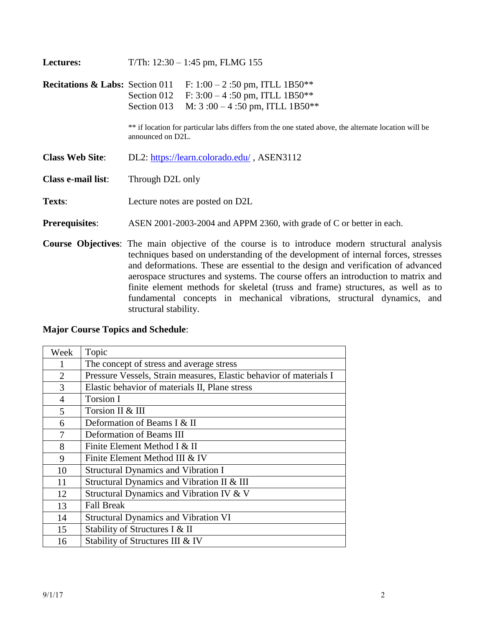| Lectures:                                  | T/Th: $12:30 - 1:45$ pm, FLMG 155                                                                                                                                                                                                                                                                                                                                                                                                               |  |  |
|--------------------------------------------|-------------------------------------------------------------------------------------------------------------------------------------------------------------------------------------------------------------------------------------------------------------------------------------------------------------------------------------------------------------------------------------------------------------------------------------------------|--|--|
| <b>Recitations &amp; Labs:</b> Section 011 | F: $1:00 - 2:50$ pm, ITLL 1B50 <sup>**</sup><br>F: $3:00 - 4:50$ pm, ITLL 1B50**<br>Section 012<br>M: $3:00-4:50$ pm, ITLL 1B50 <sup>**</sup><br>Section 013                                                                                                                                                                                                                                                                                    |  |  |
|                                            | ** if location for particular labs differs from the one stated above, the alternate location will be<br>announced on D2L.                                                                                                                                                                                                                                                                                                                       |  |  |
| <b>Class Web Site:</b>                     | DL2: https://learn.colorado.edu/, ASEN3112                                                                                                                                                                                                                                                                                                                                                                                                      |  |  |
| Class e-mail list:                         | Through D2L only                                                                                                                                                                                                                                                                                                                                                                                                                                |  |  |
| Texts:                                     | Lecture notes are posted on D2L                                                                                                                                                                                                                                                                                                                                                                                                                 |  |  |
| <b>Prerequisites:</b>                      | ASEN 2001-2003-2004 and APPM 2360, with grade of C or better in each.                                                                                                                                                                                                                                                                                                                                                                           |  |  |
|                                            | Course Objectives: The main objective of the course is to introduce modern structural analysis<br>techniques based on understanding of the development of internal forces, stresses<br>and deformations. These are essential to the design and verification of advanced<br>aerospace structures and systems. The course offers an introduction to matrix and<br>finite element methods for skeletal (truss and frame) structures, as well as to |  |  |

fundamental concepts in mechanical vibrations, structural dynamics, and

**Major Course Topics and Schedule**:

structural stability.

| Week           | Topic                                                              |
|----------------|--------------------------------------------------------------------|
| 1              | The concept of stress and average stress                           |
| $\overline{2}$ | Pressure Vessels, Strain measures, Elastic behavior of materials I |
| 3              | Elastic behavior of materials II, Plane stress                     |
| $\overline{4}$ | Torsion I                                                          |
| 5              | Torsion II & III                                                   |
| 6              | Deformation of Beams I & II                                        |
| 7              | Deformation of Beams III                                           |
| 8              | Finite Element Method I & II                                       |
| 9              | Finite Element Method III & IV                                     |
| 10             | <b>Structural Dynamics and Vibration I</b>                         |
| 11             | Structural Dynamics and Vibration II & III                         |
| 12             | Structural Dynamics and Vibration IV & V                           |
| 13             | <b>Fall Break</b>                                                  |
| 14             | <b>Structural Dynamics and Vibration VI</b>                        |
| 15             | Stability of Structures I & II                                     |
| 16             | Stability of Structures III & IV                                   |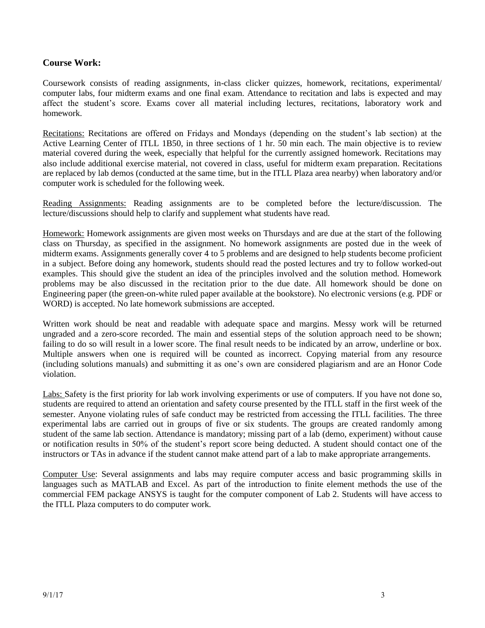## **Course Work:**

Coursework consists of reading assignments, in-class clicker quizzes, homework, recitations, experimental/ computer labs, four midterm exams and one final exam. Attendance to recitation and labs is expected and may affect the student's score. Exams cover all material including lectures, recitations, laboratory work and homework.

Recitations: Recitations are offered on Fridays and Mondays (depending on the student's lab section) at the Active Learning Center of ITLL 1B50, in three sections of 1 hr. 50 min each. The main objective is to review material covered during the week, especially that helpful for the currently assigned homework. Recitations may also include additional exercise material, not covered in class, useful for midterm exam preparation. Recitations are replaced by lab demos (conducted at the same time, but in the ITLL Plaza area nearby) when laboratory and/or computer work is scheduled for the following week.

Reading Assignments: Reading assignments are to be completed before the lecture/discussion. The lecture/discussions should help to clarify and supplement what students have read.

Homework: Homework assignments are given most weeks on Thursdays and are due at the start of the following class on Thursday, as specified in the assignment. No homework assignments are posted due in the week of midterm exams. Assignments generally cover 4 to 5 problems and are designed to help students become proficient in a subject. Before doing any homework, students should read the posted lectures and try to follow worked-out examples. This should give the student an idea of the principles involved and the solution method. Homework problems may be also discussed in the recitation prior to the due date. All homework should be done on Engineering paper (the green-on-white ruled paper available at the bookstore). No electronic versions (e.g. PDF or WORD) is accepted. No late homework submissions are accepted.

Written work should be neat and readable with adequate space and margins. Messy work will be returned ungraded and a zero-score recorded. The main and essential steps of the solution approach need to be shown; failing to do so will result in a lower score. The final result needs to be indicated by an arrow, underline or box. Multiple answers when one is required will be counted as incorrect. Copying material from any resource (including solutions manuals) and submitting it as one's own are considered plagiarism and are an Honor Code violation.

Labs: Safety is the first priority for lab work involving experiments or use of computers. If you have not done so, students are required to attend an orientation and safety course presented by the ITLL staff in the first week of the semester. Anyone violating rules of safe conduct may be restricted from accessing the ITLL facilities. The three experimental labs are carried out in groups of five or six students. The groups are created randomly among student of the same lab section. Attendance is mandatory; missing part of a lab (demo, experiment) without cause or notification results in 50% of the student's report score being deducted. A student should contact one of the instructors or TAs in advance if the student cannot make attend part of a lab to make appropriate arrangements.

Computer Use: Several assignments and labs may require computer access and basic programming skills in languages such as MATLAB and Excel. As part of the introduction to finite element methods the use of the commercial FEM package ANSYS is taught for the computer component of Lab 2. Students will have access to the ITLL Plaza computers to do computer work.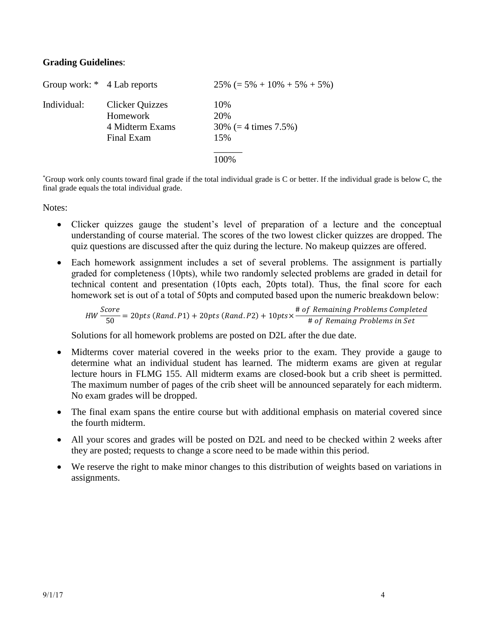## **Grading Guidelines**:

| Group work: * 4 Lab reports |                                                                     | $25\%$ (= 5% + 10% + 5% + 5%)                         |
|-----------------------------|---------------------------------------------------------------------|-------------------------------------------------------|
| Individual:                 | <b>Clicker Quizzes</b><br>Homework<br>4 Midterm Exams<br>Final Exam | 10%<br>20\%<br>$30\%$ (= 4 times 7.5%)<br>15%<br>100% |
|                             |                                                                     |                                                       |

\*Group work only counts toward final grade if the total individual grade is C or better. If the individual grade is below C, the final grade equals the total individual grade.

Notes:

- Clicker quizzes gauge the student's level of preparation of a lecture and the conceptual understanding of course material. The scores of the two lowest clicker quizzes are dropped. The quiz questions are discussed after the quiz during the lecture. No makeup quizzes are offered.
- Each homework assignment includes a set of several problems. The assignment is partially graded for completeness (10pts), while two randomly selected problems are graded in detail for technical content and presentation (10pts each, 20pts total). Thus, the final score for each homework set is out of a total of 50pts and computed based upon the numeric breakdown below:

$$
HW \frac{Score}{50} = 20pts (Rand.P1) + 20pts (Rand.P2) + 10pts \times \frac{\# of Remaining Problems Completed}{\# of Remaing Problems in Set}
$$

Solutions for all homework problems are posted on D2L after the due date.

- Midterms cover material covered in the weeks prior to the exam. They provide a gauge to determine what an individual student has learned. The midterm exams are given at regular lecture hours in FLMG 155. All midterm exams are closed-book but a crib sheet is permitted. The maximum number of pages of the crib sheet will be announced separately for each midterm. No exam grades will be dropped.
- The final exam spans the entire course but with additional emphasis on material covered since the fourth midterm.
- All your scores and grades will be posted on D2L and need to be checked within 2 weeks after they are posted; requests to change a score need to be made within this period.
- We reserve the right to make minor changes to this distribution of weights based on variations in assignments.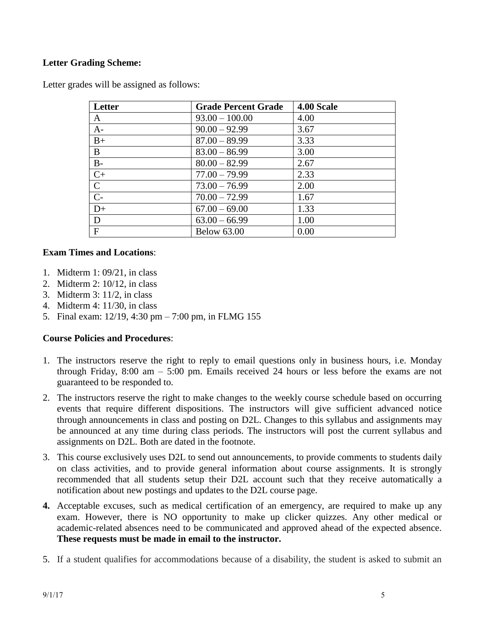## **Letter Grading Scheme:**

Letter grades will be assigned as follows:

| Letter         | <b>Grade Percent Grade</b> | 4.00 Scale |
|----------------|----------------------------|------------|
| A              | $93.00 - 100.00$           | 4.00       |
| $A-$           | $90.00 - 92.99$            | 3.67       |
| $B+$           | $87.00 - 89.99$            | 3.33       |
| B              | $83.00 - 86.99$            | 3.00       |
| $B -$          | $80.00 - 82.99$            | 2.67       |
| $C+$           | $77.00 - 79.99$            | 2.33       |
| $\overline{C}$ | $73.00 - 76.99$            | 2.00       |
| $\overline{C}$ | $70.00 - 72.99$            | 1.67       |
| $D+$           | $67.00 - 69.00$            | 1.33       |
| D              | $63.00 - 66.99$            | 1.00       |
| $\mathbf{F}$   | <b>Below 63.00</b>         | 0.00       |

## **Exam Times and Locations**:

- 1. Midterm 1: 09/21, in class
- 2. Midterm 2: 10/12, in class
- 3. Midterm 3: 11/2, in class
- 4. Midterm 4: 11/30, in class
- 5. Final exam: 12/19, 4:30 pm 7:00 pm, in FLMG 155

## **Course Policies and Procedures**:

- 1. The instructors reserve the right to reply to email questions only in business hours, i.e. Monday through Friday, 8:00 am – 5:00 pm. Emails received 24 hours or less before the exams are not guaranteed to be responded to.
- 2. The instructors reserve the right to make changes to the weekly course schedule based on occurring events that require different dispositions. The instructors will give sufficient advanced notice through announcements in class and posting on D2L. Changes to this syllabus and assignments may be announced at any time during class periods. The instructors will post the current syllabus and assignments on D2L. Both are dated in the footnote.
- 3. This course exclusively uses D2L to send out announcements, to provide comments to students daily on class activities, and to provide general information about course assignments. It is strongly recommended that all students setup their D2L account such that they receive automatically a notification about new postings and updates to the D2L course page.
- **4.** Acceptable excuses, such as medical certification of an emergency, are required to make up any exam. However, there is NO opportunity to make up clicker quizzes. Any other medical or academic-related absences need to be communicated and approved ahead of the expected absence. **These requests must be made in email to the instructor.**
- 5. If a student qualifies for accommodations because of a disability, the student is asked to submit an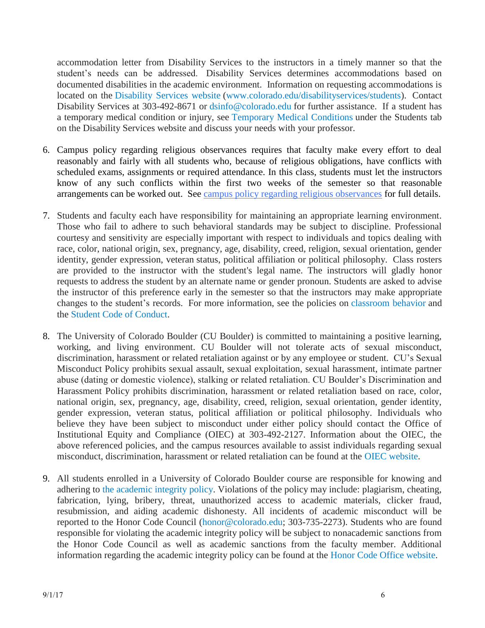accommodation letter from Disability Services to the instructors in a timely manner so that the student's needs can be addressed. Disability Services determines accommodations based on documented disabilities in the academic environment. Information on requesting accommodations is located on the [Disability](http://www.colorado.edu/disabilityservices/students) Services website [\(www.colorado.edu/disabilityservices/students\)](http://www.colorado.edu/disabilityservices/students). Contact Disability Services at 303-492-8671 or [dsinfo@colorado.edu](mailto:dsinfo@colorado.edu) for further assistance. If a student has a temporary medical condition or injury, see [Temporary](http://www.colorado.edu/disabilityservices/students/temporary-medical-conditions) Medical Conditions under the Students tab on the Disability Services website and discuss your needs with your professor.

- 6. Campus policy regarding religious observances requires that faculty make every effort to deal reasonably and fairly with all students who, because of religious obligations, have conflicts with scheduled exams, assignments or required attendance. In this class, students must let the instructors know of any such conflicts within the first two weeks of the semester so that reasonable arrangements can be worked out. See [campus policy regarding religious observances](http://www.alumniconnections.com/links/link.cgi?l=6835152&h=6451&e=UCBI-20151203180101) for full details.
- 7. Students and faculty each have responsibility for maintaining an appropriate learning environment. Those who fail to adhere to such behavioral standards may be subject to discipline. Professional courtesy and sensitivity are especially important with respect to individuals and topics dealing with race, color, national origin, sex, pregnancy, age, disability, creed, religion, sexual orientation, gender identity, gender expression, veteran status, political affiliation or political philosophy. Class rosters are provided to the instructor with the student's legal name. The instructors will gladly honor requests to address the student by an alternate name or gender pronoun. Students are asked to advise the instructor of this preference early in the semester so that the instructors may make appropriate changes to the student's records. For more information, see the policies on [classroom](http://www.colorado.edu/policies/student-classroom-and-course-related-behavior) behavior and the Student Code of [Conduct.](http://www.colorado.edu/osccr/)
- 8. The University of Colorado Boulder (CU Boulder) is committed to maintaining a positive learning, working, and living environment. CU Boulder will not tolerate acts of sexual misconduct, discrimination, harassment or related retaliation against or by any employee or student. CU's Sexual Misconduct Policy prohibits sexual assault, sexual exploitation, sexual harassment, intimate partner abuse (dating or domestic violence), stalking or related retaliation. CU Boulder's Discrimination and Harassment Policy prohibits discrimination, harassment or related retaliation based on race, color, national origin, sex, pregnancy, age, disability, creed, religion, sexual orientation, gender identity, gender expression, veteran status, political affiliation or political philosophy. Individuals who believe they have been subject to misconduct under either policy should contact the Office of Institutional Equity and Compliance (OIEC) at 303-492-2127. Information about the OIEC, the above referenced policies, and the campus resources available to assist individuals regarding sexual misconduct, discrimination, harassment or related retaliation can be found at the OIEC [website.](http://www.colorado.edu/institutionalequity/)
- 9. All students enrolled in a University of Colorado Boulder course are responsible for knowing and adhering to the [academic](http://www.colorado.edu/policies/academic-integrity-policy) integrity policy. Violations of the policy may include: plagiarism, cheating, fabrication, lying, bribery, threat, unauthorized access to academic materials, clicker fraud, resubmission, and aiding academic dishonesty. All incidents of academic misconduct will be reported to the Honor Code Council [\(honor@colorado.edu;](mailto:honor@colorado.edu) 303-735-2273). Students who are found responsible for violating the academic integrity policy will be subject to nonacademic sanctions from the Honor Code Council as well as academic sanctions from the faculty member. Additional information regarding the academic integrity policy can be found at the Honor Code Office [website.](http://www.colorado.edu/honorcode/)